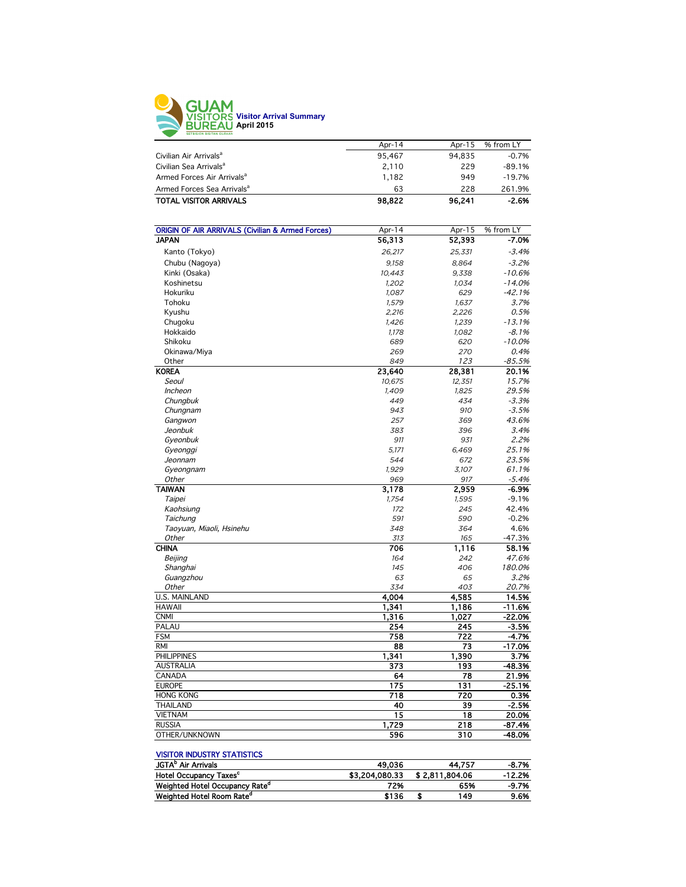

|                                        | Apr-14 | Apr-15 | % from LY |
|----------------------------------------|--------|--------|-----------|
| Civilian Air Arrivals <sup>a</sup>     | 95.467 | 94.835 | $-0.7%$   |
| Civilian Sea Arrivals <sup>a</sup>     | 2.110  | 229    | $-89.1%$  |
| Armed Forces Air Arrivals <sup>a</sup> | 1.182  | 949    | $-19.7%$  |
| Armed Forces Sea Arrivals <sup>a</sup> | 63     | 228    | 261.9%    |
| <b>TOTAL VISITOR ARRIVALS</b>          | 98,822 | 96.241 | $-2.6%$   |
|                                        |        |        |           |

| <b>ORIGIN OF AIR ARRIVALS (Civilian &amp; Armed Forces)</b> | Apr-14 | Apr-15 | % from LY |
|-------------------------------------------------------------|--------|--------|-----------|
| <b>JAPAN</b>                                                | 56,313 | 52,393 | $-7.0%$   |
| Kanto (Tokyo)                                               | 26,217 | 25,331 | $-3.4%$   |
| Chubu (Nagoya)                                              | 9,158  | 8,864  | $-3.2%$   |
| Kinki (Osaka)                                               | 10,443 | 9.338  | $-10.6%$  |
| Koshinetsu                                                  | 1,202  | 1,034  | $-14.0%$  |
| Hokuriku                                                    | 1,087  | 629    | $-42.1%$  |
| Tohoku                                                      | 1,579  | 1,637  | 3.7%      |
| Kyushu                                                      | 2,216  | 2,226  | 0.5%      |
| Chugoku                                                     | 1,426  | 1,239  | $-13.1%$  |
| Hokkaido                                                    | 1,178  | 1,082  | $-8.1%$   |
| Shikoku                                                     | 689    | 620    | $-10.0%$  |
| Okinawa/Miya                                                | 269    | 270    | 0.4%      |
| Other                                                       | 849    | 123    | $-85.5%$  |
| <b>KOREA</b>                                                | 23,640 | 28,381 | 20.1%     |
| Seoul                                                       | 10,675 | 12,351 | 15.7%     |
| Incheon                                                     | 1,409  | 1,825  | 29.5%     |
| Chungbuk                                                    | 449    | 434    | $-3.3%$   |
| Chungnam                                                    | 943    | 910    | $-3.5%$   |
| Gangwon                                                     | 257    | 369    | 43.6%     |
| Jeonbuk                                                     | 383    | 396    | 3.4%      |
| Gyeonbuk                                                    | 911    | 931    | 2.2%      |
| Gyeonggi                                                    | 5,171  | 6,469  | 25.1%     |
| Jeonnam                                                     | 544    | 672    | 23.5%     |
| Gyeongnam                                                   | 1,929  | 3,107  | 61.1%     |
| Other                                                       | 969    | 917    | $-5.4%$   |
| <b>TAIWAN</b>                                               | 3,178  | 2,959  | $-6.9%$   |
| Taipei                                                      | 1,754  | 1,595  | $-9.1%$   |
| Kaohsiung                                                   | 172    | 245    | 42.4%     |
| Taichung                                                    | 591    | 590    | $-0.2%$   |
| Taoyuan, Miaoli, Hsinehu                                    | 348    | 364    | 4.6%      |
| Other                                                       | 313    | 165    | $-47.3%$  |
| <b>CHINA</b>                                                | 706    | 1,116  | 58.1%     |
| Beijing                                                     | 164    | 242    | 47.6%     |
| Shanghai                                                    | 145    | 406    | 180.0%    |
| Guangzhou                                                   | 63     | 65     | 3.2%      |
| Other                                                       | 334    | 403    | 20.7%     |
| U.S. MAINLAND                                               | 4.004  | 4,585  | 14.5%     |
| <b>HAWAII</b>                                               | 1,341  | 1,186  | $-11.6%$  |
| <b>CNMI</b>                                                 | 1,316  | 1,027  | $-22.0%$  |
| PALAU                                                       | 254    | 245    | $-3.5%$   |
| <b>FSM</b>                                                  | 758    | 722    | -4.7%     |
| <b>RMI</b>                                                  | 88     | 73     | $-17.0%$  |
| <b>PHILIPPINES</b>                                          | 1.341  | 1,390  | 3.7%      |
| <b>AUSTRALIA</b>                                            | 373    | 193    | $-48.3%$  |
| CANADA                                                      | 64     | 78     | 21.9%     |
| <b>EUROPE</b>                                               | 175    | 131    | $-25.1%$  |
| <b>HONG KONG</b>                                            | 718    | 720    | 0.3%      |
| <b>THAILAND</b>                                             | 40     | 39     | $-2.5%$   |
| <b>VIETNAM</b>                                              | 15     | 18     | 20.0%     |
| <b>RUSSIA</b>                                               | 1,729  | 218    | $-87.4%$  |
| OTHER/UNKNOWN                                               | 596    | 310    | -48.0%    |
|                                                             |        |        |           |

## VISITOR INDUSTRY STATISTICS

| <b>JGTA</b> <sup>P</sup> Air Arrivals      | 49.036         |                | 44.757 | -8.7%    |
|--------------------------------------------|----------------|----------------|--------|----------|
| Hotel Occupancy Taxes <sup>c</sup>         | \$3,204,080,33 | \$2.811.804.06 |        | $-12.2%$ |
| Weighted Hotel Occupancy Rate <sup>a</sup> | 72%            |                | 65%    | $-9.7%$  |
| Weighted Hotel Room Rate <sup>d</sup>      | \$136          |                | 149    | 9.6%     |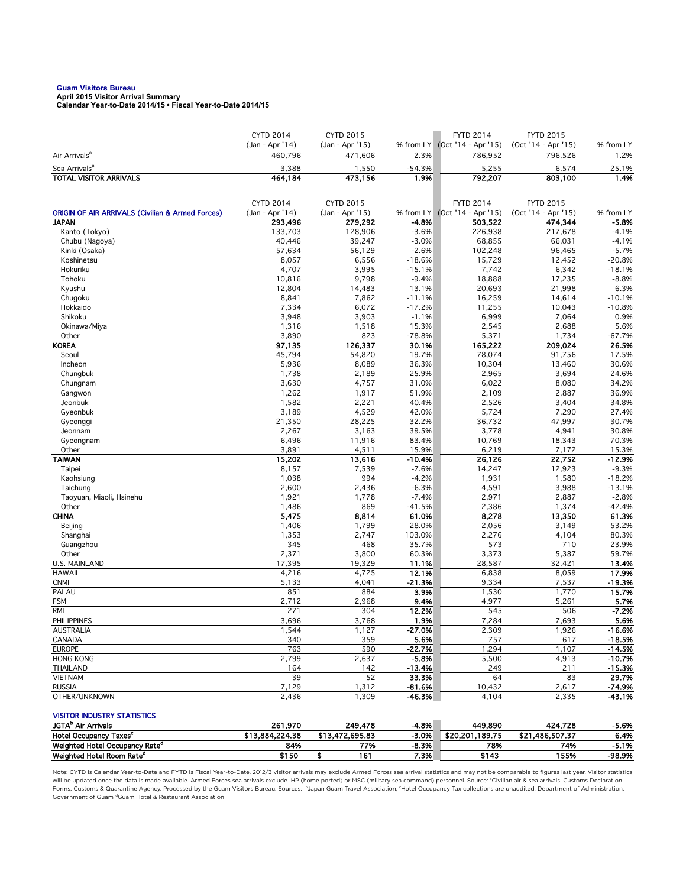## **Guam Visitors Bureau**

**April 2015 Visitor Arrival Summary Calendar Year-to-Date 2014/15 • Fiscal Year-to-Date 2014/15** 

|                                                             | <b>CYTD 2014</b> | CYTD 2015        |                  | <b>FYTD 2014</b>              | <b>FYTD 2015</b>    |                   |
|-------------------------------------------------------------|------------------|------------------|------------------|-------------------------------|---------------------|-------------------|
|                                                             | (Jan - Apr '14)  | (Jan - Apr '15)  |                  | % from LY (Oct '14 - Apr '15) | (Oct '14 - Apr '15) | % from LY         |
| Air Arrivals <sup>a</sup>                                   | 460,796          | 471,606          | 2.3%             | 786,952                       | 796,526             | 1.2%              |
| Sea Arrivals <sup>a</sup>                                   | 3,388            | 1,550            | $-54.3%$         | 5,255                         | 6,574               | 25.1%             |
| <b>TOTAL VISITOR ARRIVALS</b>                               | 464,184          | 473,156          | 1.9%             | 792,207                       | 803,100             | 1.4%              |
|                                                             | <b>CYTD 2014</b> | <b>CYTD 2015</b> |                  | <b>FYTD 2014</b>              | <b>FYTD 2015</b>    |                   |
| <b>ORIGIN OF AIR ARRIVALS (Civilian &amp; Armed Forces)</b> | (Jan - Apr '14)  | (Jan - Apr '15)  | % from LY        | (Oct '14 - Apr '15)           | (Oct '14 - Apr '15) | % from LY         |
| <b>JAPAN</b>                                                | 293,496          | 279,292          | -4.8%            | 503,522                       | 474,344             | -5.8%             |
| Kanto (Tokyo)                                               | 133,703          | 128,906          | $-3.6%$          | 226,938                       | 217,678             | $-4.1%$           |
| Chubu (Nagoya)                                              | 40,446           | 39,247           | $-3.0%$          | 68,855                        | 66,031              | $-4.1%$           |
| Kinki (Osaka)                                               | 57,634           | 56,129           | $-2.6%$          | 102,248                       | 96,465              | $-5.7%$           |
| Koshinetsu                                                  | 8,057            | 6,556            | $-18.6%$         | 15,729                        | 12,452              | $-20.8%$          |
| Hokuriku                                                    | 4,707            | 3,995            | $-15.1%$         | 7,742                         | 6,342               | $-18.1%$          |
| Tohoku                                                      | 10,816           | 9,798            | $-9.4%$          | 18,888                        | 17,235              | $-8.8%$           |
| Kyushu                                                      | 12,804           | 14,483           | 13.1%            | 20,693                        | 21,998              | 6.3%              |
| Chugoku                                                     | 8,841            | 7,862            | $-11.1%$         | 16,259                        | 14,614              | $-10.1%$          |
| Hokkaido                                                    | 7,334            | 6,072            | $-17.2%$         | 11,255                        | 10,043              | $-10.8%$          |
| Shikoku                                                     | 3,948            | 3,903            | $-1.1%$          | 6,999                         | 7,064               | 0.9%              |
| Okinawa/Miya                                                | 1,316            | 1,518            | 15.3%            | 2,545                         | 2,688               | 5.6%              |
| Other                                                       | 3,890            | 823              | $-78.8%$         | 5,371                         | 1,734               | $-67.7%$          |
| <b>KOREA</b>                                                | 97,135           | 126,337          | 30.1%            | 165,222                       | 209,024             | 26.5%             |
| Seoul<br>Incheon                                            | 45,794<br>5,936  | 54,820<br>8,089  | 19.7%            | 78,074<br>10,304              | 91,756              | 17.5%<br>30.6%    |
| Chungbuk                                                    | 1,738            | 2,189            | 36.3%<br>25.9%   | 2,965                         | 13,460<br>3,694     | 24.6%             |
| Chungnam                                                    | 3,630            | 4,757            | 31.0%            | 6,022                         | 8,080               | 34.2%             |
| Gangwon                                                     | 1,262            | 1,917            | 51.9%            | 2,109                         | 2,887               | 36.9%             |
| Jeonbuk                                                     | 1,582            | 2,221            | 40.4%            | 2,526                         | 3,404               | 34.8%             |
| Gyeonbuk                                                    | 3,189            | 4,529            | 42.0%            | 5,724                         | 7,290               | 27.4%             |
| Gyeonggi                                                    | 21,350           | 28,225           | 32.2%            | 36,732                        | 47,997              | 30.7%             |
| Jeonnam                                                     | 2,267            | 3,163            | 39.5%            | 3,778                         | 4,941               | 30.8%             |
| Gyeongnam                                                   | 6,496            | 11,916           | 83.4%            | 10,769                        | 18,343              | 70.3%             |
| Other                                                       | 3,891            | 4,511            | 15.9%            | 6,219                         | 7,172               | 15.3%             |
| <b>TAIWAN</b>                                               | 15,202           | 13,616           | $-10.4%$         | 26,126                        | 22,752              | $-12.9%$          |
| Taipei                                                      | 8,157            | 7,539            | $-7.6%$          | 14,247                        | 12,923              | $-9.3%$           |
| Kaohsiung                                                   | 1,038            | 994              | $-4.2%$          | 1,931                         | 1,580               | $-18.2%$          |
| Taichung                                                    | 2,600            | 2,436            | $-6.3%$          | 4,591                         | 3,988               | $-13.1%$          |
| Taoyuan, Miaoli, Hsinehu                                    | 1,921            | 1,778            | $-7.4%$          | 2,971                         | 2,887               | $-2.8%$           |
| Other                                                       | 1,486            | 869              | $-41.5%$         | 2,386                         | 1,374               | $-42.4%$          |
| <b>CHINA</b>                                                | 5,475            | 8,814            | 61.0%            | 8,278                         | 13,350              | 61.3%             |
| Beijing                                                     | 1,406            | 1,799            | 28.0%            | 2,056                         | 3,149               | 53.2%             |
| Shanghai                                                    | 1,353            | 2,747            | 103.0%           | 2,276                         | 4,104               | 80.3%             |
| Guangzhou                                                   | 345              | 468              | 35.7%            | 573                           | 710                 | 23.9%             |
| Other                                                       | 2,371            | 3,800            | 60.3%            | 3,373                         | 5,387               | 59.7%             |
| U.S. MAINLAND                                               | 17,395           | 19,329           | 11.1%            | 28,587                        | 32,421              | 13.4%             |
| <b>HAWAII</b><br><b>CNMI</b>                                | 4,216            | 4,725            | 12.1%            | 6,838                         | 8,059               | 17.9%<br>$-19.3%$ |
| PALAU                                                       | 5,133<br>851     | 4,041<br>884     | $-21.3%$<br>3.9% | 9,334<br>1,530                | 7,537<br>1,770      | 15.7%             |
| <b>FSM</b>                                                  | 2,712            | 2,968            | 9.4%             | 4,977                         | 5,261               | 5.7%              |
| RMI                                                         | 271              | 304              | 12.2%            | 545                           | 506                 | $-7.2%$           |
| <b>PHILIPPINES</b>                                          | 3,696            | 3,768            | 1.9%             | 7,284                         | 7,693               | 5.6%              |
| AUSTRALIA                                                   | 1,544            | 1,127            | -27.0%           | 2,309                         | 1,926               | -16.6%            |
| CANADA                                                      | 340              | 359              | 5.6%             | 757                           | 617                 | $-18.5%$          |
| <b>EUROPE</b>                                               | 763              | 590              | $-22.7%$         | 1,294                         | 1,107               | $-14.5%$          |
| <b>HONG KONG</b>                                            | 2,799            | 2,637            | $-5.8%$          | 5,500                         | 4,913               | $-10.7%$          |
| THAILAND                                                    | 164              | 142              | $-13.4%$         | 249                           | 211                 | $-15.3%$          |
| <b>VIETNAM</b>                                              | 39               | 52               | 33.3%            | 64                            | 83                  | 29.7%             |
| <b>RUSSIA</b>                                               | 7,129            | 1,312            | $-81.6%$         | 10,432                        | 2,617               | $-74.9%$          |
| OTHER/UNKNOWN                                               | 2,436            | 1,309            | -46.3%           | 4,104                         | 2,335               | $-43.1%$          |
| <b>VISITOR INDUSTRY STATISTICS</b>                          |                  |                  |                  |                               |                     |                   |
| JGTA <sup>b</sup> Air Arrivals                              | 261,970          | 249,478          | $-4.8%$          | 449.890                       | 424,728             | -5.6%             |
| Hotel Occupancy Taxes <sup>c</sup>                          | \$13,884,224.38  | \$13,472,695.83  | $-3.0%$          | \$20,201,189.75               | \$21,486,507.37     | 6.4%              |
| Weighted Hotel Occupancy Rate <sup>d</sup>                  | 84%              | 77%              | $-8.3%$          | 78%                           | 74%                 | -5.1%             |

Note: CYTD is Calendar Year-to-Date and FYTD is Fiscal Year-to-Date. 2012/3 visitor arrivals may exclude Armed Forces sea arrival statistics and may not be comparable to figures last year. Visitor statistics will be updated once the data is made available. Armed Forces sea arrivals exclude HP (home ported) or MSC (military sea command) personnel. Source: °Civilian air & sea arrivals. Customs Declaration<br>Forms, Customs & Quaran Government of Guam dGuam Hotel & Restaurant Association

Weighted Hotel Occupancy Rate<sup>d</sup> 84% 77% -8.3% 78% 74% -5.1% Weighted Hotel Room Rate<sup>d</sup> \$150 \$ 161 7.3% \$143 155% -98.9%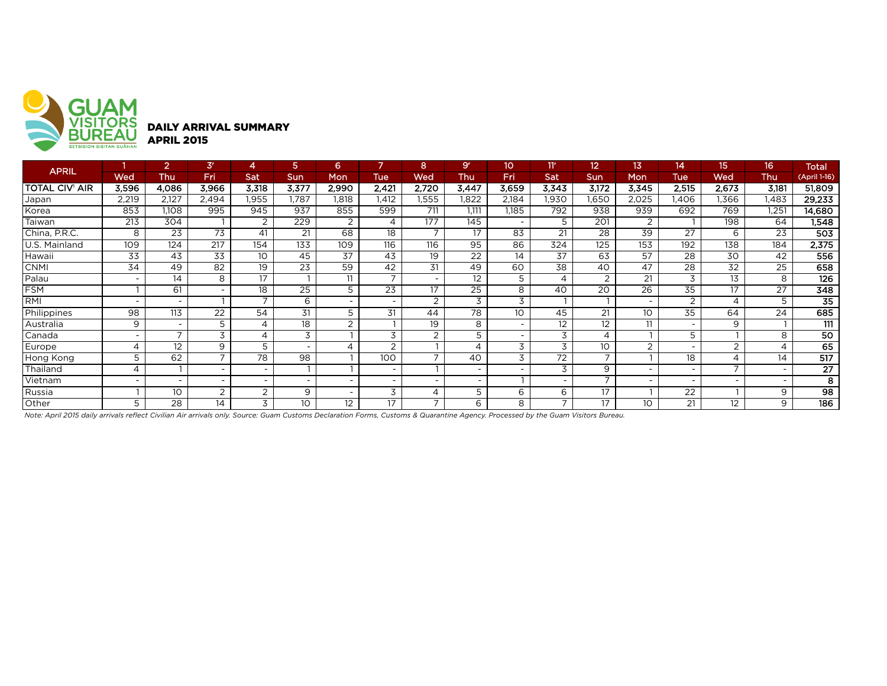

| <b>APRIL</b>          |                          | 2                        | 3 <sup>r</sup>           |                          | 5                        | 6                        |                          | 8                        | 9 <sup>r</sup>           | 10         | 11 <sup>r</sup>          | 12                       | 13                       | 14                       | 15                | 16             | <b>Total</b>    |
|-----------------------|--------------------------|--------------------------|--------------------------|--------------------------|--------------------------|--------------------------|--------------------------|--------------------------|--------------------------|------------|--------------------------|--------------------------|--------------------------|--------------------------|-------------------|----------------|-----------------|
|                       | Wed                      | Thu                      | Fri                      | Sat                      | <b>Sun</b>               | <b>Mon</b>               | <b>Tue</b>               | Wed                      | Thu                      | <b>Fri</b> | Sat                      | Sun                      | Mon                      | Tue                      | Wed               | Thu            | (April 1-16)    |
| <b>TOTAL CIV' AIR</b> | 3,596                    | 4,086                    | 3,966                    | 3,318                    | 3,377                    | 2,990                    | 2,421                    | 2,720                    | 3,447                    | 3,659      | 3,343                    | 3,172                    | 3,345                    | 2,515                    | 2,673             | 3,181          | 51,809          |
| Japan                 | 2,219                    | 2,127                    | 2,494                    | l.955                    | .787                     | .818                     | .412                     | .555                     | .822                     | 2,184      | ,930                     | 1,650                    | 2,025                    | .406                     | .366              | l,483          | 29,233          |
| Korea                 | 853                      | 1,108                    | 995                      | 945                      | 937                      | 855                      | 599                      | 711                      | 1.111                    | .185       | 792                      | 938                      | 939                      | 692                      | 769               | .251           | 14,680          |
| Taiwan                | 213                      | 304                      |                          | $\overline{2}$           | 229                      | 2                        |                          | 177                      | 145                      |            | 5                        | 201                      | 2                        |                          | 198               | 64             | 1,548           |
| China, P.R.C.         | 8                        | 23                       | 73                       | 41                       | 21                       | 68                       | 18                       | $\overline{ }$           | 17                       | 83         | 21                       | 28                       | 39                       | 27                       | 6                 | 23             | 503             |
| U.S. Mainland         | 109                      | 124                      | 217                      | 154                      | 133                      | 109                      | 116                      | 116                      | 95                       | 86         | 324                      | 125                      | 153                      | 192                      | 138               | 184            | 2,375           |
| Hawaii                | 33                       | 43                       | 33                       | 10                       | 45                       | 37                       | 43                       | 19                       | $2\overline{2}$          | 14         | 37                       | 63                       | 57                       | 28                       | 30                | 42             | 556             |
| <b>CNMI</b>           | 34                       | 49                       | 82                       | 19                       | 23                       | 59                       | 42                       | 31                       | 49                       | 60         | 38                       | 40                       | 47                       | 28                       | 32                | 25             | 658             |
| Palau                 |                          | 14                       | 8                        | 17                       |                          | 11                       |                          |                          | 12                       | 5          | 4                        | $\overline{2}$           | 21                       | 3                        | 13                | 8              | 126             |
| <b>FSM</b>            |                          | 61                       | $\overline{\phantom{a}}$ | 18                       | $\overline{25}$          | 5                        | $\overline{23}$          | 17                       | 25                       | 8          | 40                       | 20                       | 26                       | $\overline{35}$          | 17                | 27             | 348             |
| RMI                   | $\overline{\phantom{a}}$ | $\overline{\phantom{a}}$ |                          | $\overline{\phantom{a}}$ | 6                        | $\overline{\phantom{0}}$ |                          | 2                        | 3                        | 3          |                          |                          | $\overline{\phantom{0}}$ | $\overline{2}$           | 4                 | 5              | $\overline{35}$ |
| Philippines           | 98                       | 113                      | 22                       | 54                       | 31                       | 5                        | 31                       | 44                       | 78                       | 10         | 45                       | 21                       | 10                       | 35                       | 64                | 24             | 685             |
| Australia             | 9                        | $\overline{\phantom{a}}$ | 5                        |                          | 18                       | 2                        |                          | 19                       | 8                        |            | 12                       | 12                       | 11                       | $\overline{\phantom{a}}$ | 9                 |                | 111             |
| Canada                | $\overline{\phantom{a}}$ | $\overline{\phantom{0}}$ | 3                        |                          | 3                        |                          | 3                        | $\overline{2}$           | 5                        |            | 3                        | $\overline{4}$           |                          | 5                        |                   | 8              | 50              |
| Europe                | $\overline{4}$           | 12                       | 9                        | 5                        | $\overline{\phantom{0}}$ | $\Delta$                 | 2                        |                          | $\boldsymbol{\Delta}$    | 3          | 3                        | 10 <sup>°</sup>          | $\overline{2}$           | $\overline{\phantom{0}}$ | ົ                 | $\overline{4}$ | 65              |
| Hong Kong             | 5                        | 62                       | $\overline{\phantom{0}}$ | 78                       | 98                       |                          | 100                      | $\overline{ }$           | 40                       | 3          | 72                       | $\overline{\phantom{a}}$ |                          | 18                       | Δ                 | 14             | 517             |
| Thailand              | 4                        |                          | $\overline{\phantom{0}}$ | $\overline{\phantom{0}}$ |                          |                          |                          |                          |                          |            | 3                        | 9                        | $\overline{\phantom{0}}$ | $\overline{\phantom{0}}$ |                   |                | $\overline{27}$ |
| Vietnam               | $\overline{\phantom{a}}$ | $\overline{\phantom{a}}$ | $\overline{\phantom{0}}$ | $\overline{\phantom{0}}$ | $\overline{\phantom{0}}$ | $\overline{\phantom{0}}$ | $\overline{\phantom{0}}$ | $\overline{\phantom{0}}$ | $\overline{\phantom{0}}$ |            |                          | $\overline{ }$           | $\overline{\phantom{a}}$ | $\overline{\phantom{0}}$ |                   |                | 8               |
| Russia                |                          | 10                       | 2                        | 2                        | 9                        | $\overline{\phantom{0}}$ | 3                        | 4                        | 5                        | 6          | 6                        | 17                       |                          | 22                       |                   | 9              | 98              |
| Other                 | 5                        | 28                       | 14                       | 3                        | 10                       | 12                       | 17                       | $\overline{\phantom{0}}$ | 6                        | 8          | $\overline{\phantom{0}}$ | 17                       | 10 <sup>°</sup>          | 21                       | $12 \overline{ }$ | 9              | 186             |

*Note: April 2015 daily arrivals reflect Civilian Air arrivals only. Source: Guam Customs Declaration Forms, Customs & Quarantine Agency. Processed by the Guam Visitors Bureau.*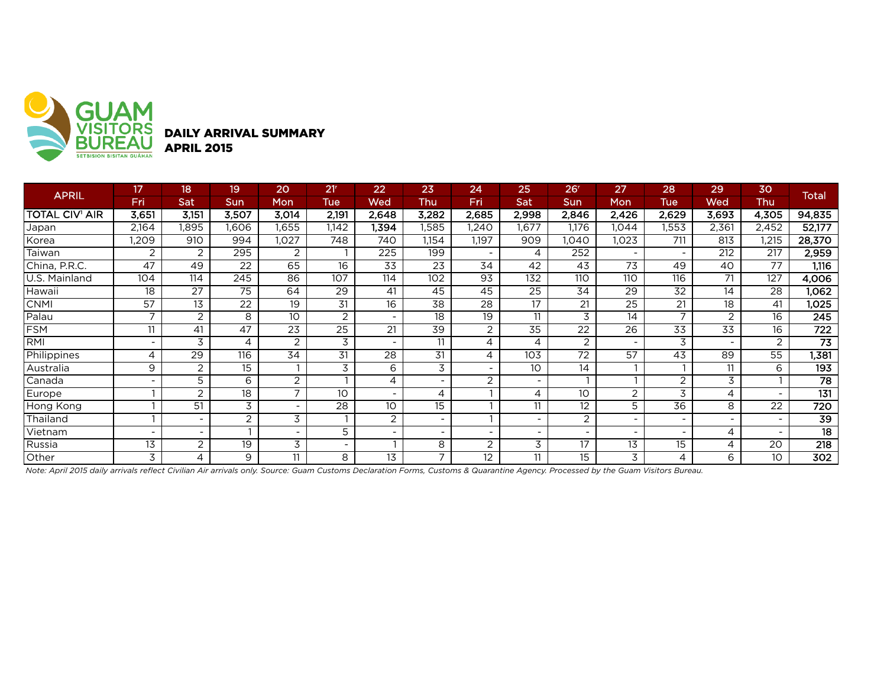

| <b>APRIL</b>          | 17                       | 18                       | 19              | 20             | 21 <sup>r</sup>          | 22                       | 23                       | 24              | 25                       | 26 <sup>r</sup> | 27                       | 28                       | 29                       | 30                       | <b>Total</b>     |
|-----------------------|--------------------------|--------------------------|-----------------|----------------|--------------------------|--------------------------|--------------------------|-----------------|--------------------------|-----------------|--------------------------|--------------------------|--------------------------|--------------------------|------------------|
|                       | Fri                      | Sat                      | Sun             | Mon            | Tue                      | Wed                      | Thu                      | Fri             | Sat                      | <b>Sun</b>      | Mon                      | Tue                      | Wed                      | Thu                      |                  |
| <b>TOTAL CIV' AIR</b> | 3,651                    | 3,151                    | 3,507           | 3,014          | 2,191                    | 2,648                    | 3,282                    | 2,685           | 2,998                    | 2,846           | 2,426                    | 2,629                    | 3,693                    | 4,305                    | 94,835           |
| Japan                 | 2,164                    | <b>1.895</b>             | 1.606           | 1,655          | 1,142                    | 1,394                    | 1,585                    | 1,240           | 1,677                    | 1,176           | 1,044                    | ,553                     | 2,361                    | 2,452                    | 52,177           |
| Korea                 | ,209                     | 910                      | 994             | 1,027          | 748                      | 740                      | 1,154                    | 1,197           | 909                      | ,040            | 1,023                    | 711                      | 813                      | ,215                     | 28,370           |
| Taiwan                | 2                        | 2                        | 295             | $\overline{2}$ |                          | 225                      | 199                      |                 | 4                        | 252             | $\overline{\phantom{0}}$ | $\sim$                   | 212                      | 217                      | 2,959            |
| China, P.R.C.         | 47                       | 49                       | 22              | 65             | 16                       | 33                       | 23                       | 34              | 42                       | 43              | 73                       | 49                       | 40                       | 77                       | 1,116            |
| U.S. Mainland         | 104                      | 114                      | 245             | 86             | 107                      | 114                      | $\overline{102}$         | 93              | 132                      | 110             | 110                      | 116                      | 71                       | 127                      | 4,006            |
| Hawaii                | 18                       | 27                       | 75              | 64             | 29                       | 41                       | 45                       | 45              | 25                       | 34              | 29                       | 32                       | 14                       | 28                       | 1,062            |
| <b>CNMI</b>           | 57                       | $\overline{13}$          | $\overline{22}$ | 19             | $\overline{31}$          | 16                       | $\overline{38}$          | $\overline{28}$ | 17                       | $\overline{21}$ | $\overline{25}$          | $\overline{21}$          | $\overline{18}$          | 41                       | 1,025            |
| Palau                 | ⇁                        | 2                        | 8               | 10             | 2                        |                          | 18                       | 19              | 11                       | 3               | 14                       | $\overline{7}$           | $\overline{2}$           | 16                       | 245              |
| <b>FSM</b>            | 11                       | 41                       | 47              | 23             | 25                       | 21                       | 39                       | 2               | 35                       | 22              | 26                       | 33                       | 33                       | 16                       | $\overline{722}$ |
| <b>RMI</b>            | $\overline{\phantom{0}}$ | 3                        | 4               | 2              | 3                        | -                        | 11                       | 4               | 4                        | $\overline{2}$  | -                        | 3                        | $\overline{\phantom{0}}$ | 2                        | $\overline{73}$  |
| Philippines           | 4                        | $\overline{29}$          | 116             | 34             | 31                       | $\overline{28}$          | 31                       | 4               | 103                      | 72              | 57                       | $\overline{43}$          | 89                       | 55                       | 1,381            |
| Australia             | 9                        | 2                        | 15              |                | 3                        | 6                        | 3                        |                 | 10                       | 14              |                          |                          | 11                       | 6                        | 193              |
| Canada                |                          | 5                        | 6               | $\overline{2}$ |                          | 4                        | $\sim$                   | 2               | $\overline{\phantom{a}}$ |                 |                          | 2                        | 3                        |                          | $\overline{78}$  |
| Europe                |                          | 2                        | 18              | ⇁              | 10                       | $\overline{\phantom{0}}$ | 4                        |                 | 4                        | 10              | $\overline{c}$           | 3                        | 4                        |                          | 131              |
| Hong Kong             |                          | 51                       | 3               |                | 28                       | 10                       | 15                       |                 | 11                       | 12              | 5                        | 36                       | 8                        | 22                       | $\overline{720}$ |
| Thailand              |                          |                          | 2               | 3              |                          | 2                        | $\overline{\phantom{a}}$ |                 |                          | 2               | -                        | $\overline{\phantom{a}}$ |                          |                          | $\overline{39}$  |
| Vietnam               |                          | $\overline{\phantom{0}}$ |                 |                | 5                        |                          | $\sim$                   |                 |                          |                 |                          | $\overline{\phantom{a}}$ | 4                        | $\overline{\phantom{0}}$ | 18               |
| Russia                | $\overline{13}$          | 2                        | 19              | 3              | $\overline{\phantom{0}}$ |                          | 8                        | 2               | 3                        | 17              | 13                       | 15                       | 4                        | 20                       | $\overline{218}$ |
| Other                 | 3                        | 4                        | 9               | 11             | 8                        | 13                       | 7                        | 12              | 11                       | 15              | 3                        | 4                        | 6                        | 10                       | 302              |

*Note: April 2015 daily arrivals reflect Civilian Air arrivals only. Source: Guam Customs Declaration Forms, Customs & Quarantine Agency. Processed by the Guam Visitors Bureau.*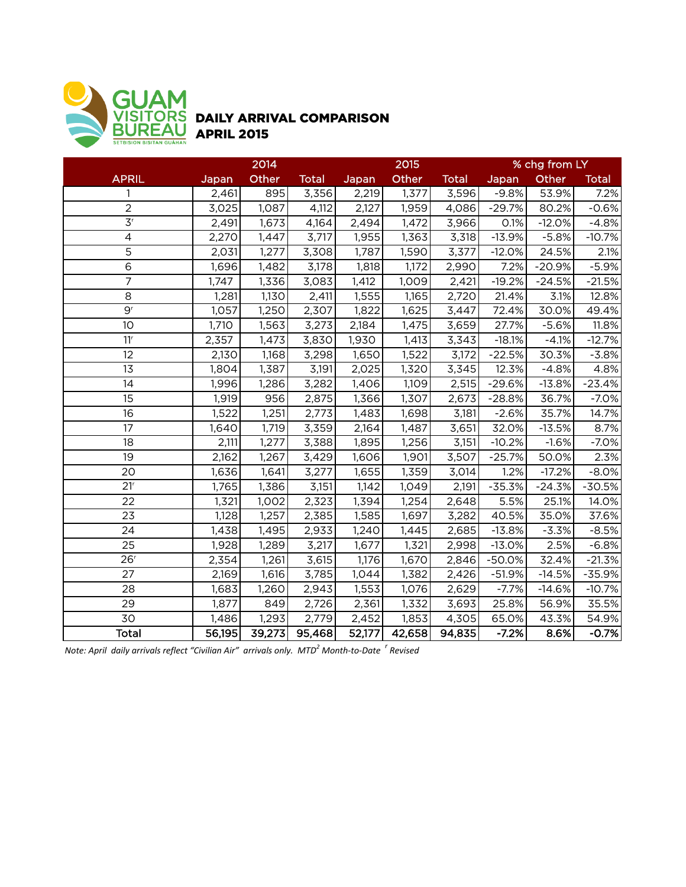

## DAILY ARRIVAL COMPARISON APRIL 2015

|                             | 2014   |        |              |        | 2015               |              | % chg from LY |          |              |  |
|-----------------------------|--------|--------|--------------|--------|--------------------|--------------|---------------|----------|--------------|--|
| <b>APRIL</b>                | Japan  | Other  | <b>Total</b> | Japan  | Other              | <b>Total</b> | Japan         | Other    | <b>Total</b> |  |
|                             | 2,461  | 895    | 3,356        | 2,219  | 1,377              | 3,596        | $-9.8%$       | 53.9%    | 7.2%         |  |
| $\overline{c}$              | 3,025  | 1,087  | 4,112        | 2,127  | 1,959              | 4,086        | $-29.7%$      | 80.2%    | $-0.6%$      |  |
| $\overline{3}$ <sup>r</sup> | 2,491  | 1,673  | 4,164        | 2,494  | 1,472              | 3,966        | 0.1%          | $-12.0%$ | $-4.8%$      |  |
| $\overline{4}$              | 2,270  | 1,447  | 3,717        | 1,955  | 1,363              | 3,318        | $-13.9%$      | $-5.8%$  | $-10.7%$     |  |
| $\overline{5}$              | 2,031  | 1,277  | 3,308        | 1,787  | 1,590              | 3,377        | $-12.0%$      | 24.5%    | 2.1%         |  |
| $\overline{6}$              | 1,696  | 1,482  | 3,178        | 1,818  | $\overline{1,}172$ | 2,990        | 7.2%          | $-20.9%$ | $-5.9%$      |  |
| $\overline{7}$              | 1,747  | 1,336  | 3,083        | 1,412  | 1,009              | 2,421        | $-19.2%$      | $-24.5%$ | $-21.5%$     |  |
| 8                           | 1,281  | 1,130  | 2,411        | 1,555  | 1,165              | 2,720        | 21.4%         | 3.1%     | 12.8%        |  |
| 9 <sup>r</sup>              | 1,057  | 1,250  | 2,307        | 1,822  | 1,625              | 3,447        | 72.4%         | 30.0%    | 49.4%        |  |
| 10                          | 1,710  | 1,563  | 3,273        | 2,184  | 1,475              | 3,659        | 27.7%         | $-5.6%$  | 11.8%        |  |
| 11 <sup>r</sup>             | 2,357  | 1,473  | 3,830        | 1,930  | 1,413              | 3,343        | $-18.1%$      | $-4.1%$  | $-12.7%$     |  |
| 12                          | 2,130  | 1,168  | 3,298        | 1,650  | 1,522              | 3,172        | $-22.5%$      | 30.3%    | $-3.8%$      |  |
| 13                          | 1,804  | 1,387  | 3,191        | 2,025  | 1,320              | 3,345        | 12.3%         | $-4.8%$  | 4.8%         |  |
| 14                          | 1,996  | 1,286  | 3,282        | 1,406  | 1,109              | 2,515        | $-29.6%$      | $-13.8%$ | $-23.4%$     |  |
| 15                          | 1,919  | 956    | 2,875        | 1,366  | 1,307              | 2,673        | $-28.8%$      | 36.7%    | $-7.0%$      |  |
| 16                          | 1,522  | 1,251  | 2,773        | 1,483  | 1,698              | 3,181        | $-2.6%$       | 35.7%    | 14.7%        |  |
| 17                          | 1,640  | 1,719  | 3,359        | 2,164  | 1,487              | 3,651        | 32.0%         | $-13.5%$ | 8.7%         |  |
| 18                          | 2,111  | 1,277  | 3,388        | 1,895  | 1,256              | 3,151        | $-10.2%$      | $-1.6%$  | $-7.0%$      |  |
| 19                          | 2,162  | 1,267  | 3,429        | 1,606  | 1,901              | 3,507        | $-25.7%$      | 50.0%    | 2.3%         |  |
| 20                          | 1,636  | 1,641  | 3,277        | 1,655  | 1,359              | 3,014        | 1.2%          | $-17.2%$ | $-8.0%$      |  |
| 21 <sup>r</sup>             | 1,765  | 1,386  | 3,151        | 1,142  | 1,049              | 2,191        | $-35.3%$      | $-24.3%$ | $-30.5%$     |  |
| 22                          | 1,321  | 1,002  | 2,323        | 1,394  | 1,254              | 2,648        | 5.5%          | 25.1%    | 14.0%        |  |
| 23                          | 1,128  | 1,257  | 2,385        | 1,585  | 1,697              | 3,282        | 40.5%         | 35.0%    | 37.6%        |  |
| 24                          | 1,438  | 1,495  | 2,933        | 1,240  | 1,445              | 2,685        | $-13.8%$      | $-3.3%$  | $-8.5%$      |  |
| 25                          | 1,928  | 1,289  | 3,217        | 1,677  | 1,321              | 2,998        | $-13.0%$      | 2.5%     | $-6.8%$      |  |
| 26 <sup>r</sup>             | 2,354  | 1,261  | 3,615        | 1,176  | 1,670              | 2,846        | $-50.0%$      | 32.4%    | $-21.3%$     |  |
| 27                          | 2,169  | 1,616  | 3,785        | 1,044  | 1,382              | 2,426        | $-51.9%$      | $-14.5%$ | $-35.9%$     |  |
| 28                          | 1,683  | 1,260  | 2,943        | 1,553  | 1,076              | 2,629        | $-7.7%$       | $-14.6%$ | $-10.7%$     |  |
| 29                          | 1,877  | 849    | 2,726        | 2,361  | 1,332              | 3,693        | 25.8%         | 56.9%    | 35.5%        |  |
| 30                          | 1,486  | 1,293  | 2,779        | 2,452  | 1,853              | 4,305        | 65.0%         | 43.3%    | 54.9%        |  |
| <b>Total</b>                | 56,195 | 39,273 | 95,468       | 52,177 | 42,658             | 94,835       | $-7.2%$       | 8.6%     | $-0.7%$      |  |

*Note: April daily arrivals reflect "Civilian Air" arrivals only. MTD<sup>2</sup> Month-to-Date <sup>r</sup> Revised*